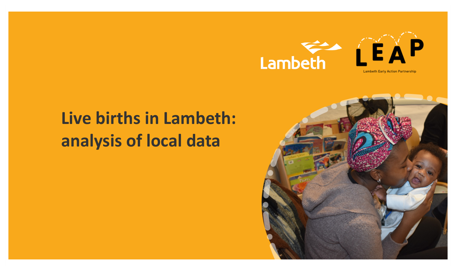

# Live births in Lambeth: analysis of local data

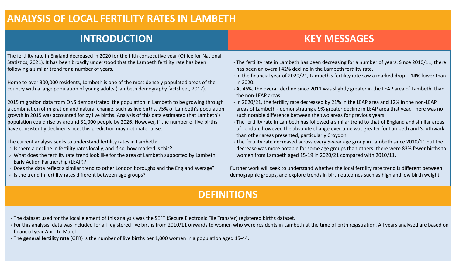#### **ANALYSIS OF LOCAL FERTILITY RATES IN LAMBETH**

# **INTRODUCTION**

## **KEY MESSAGES**

The fertility rate in England decreased in 2020 for the fifth consecutive year (Office for National Statistics, 2021). It has been broadly understood that the Lambeth fertility rate has been following a similar trend for a number of years.

Home to over 300,000 residents, Lambeth is one of the most densely populated areas of the country with a large population of young adults (Lambeth demography factsheet, 2017).

2015 migration data from ONS demonstrated the population in Lambeth to be growing through a combination of migration and natural change, such as live births. 75% of Lambeth's population growth in 2015 was accounted for by live births. Analysis of this data estimated that Lambeth's population could rise by around 31,000 people by 2026. However, if the number of live births have consistently declined since, this prediction may not materialise.

The current analysis seeks to understand fertility rates in Lambeth:

- 1. Is there a decline in fertility rates locally, and if so, how marked is this?
- 2. What does the fertility rate trend look like for the area of Lambeth supported by Lambeth Early Action Partnership (LEAP)?
- 3. Does the data reflect a similar trend to other London boroughs and the England average?
- 4. Is the trend in fertility rates different between age groups?
- The fertility rate in Lambeth has been decreasing for a number of years. Since 2010/11, there has been an overall 42% decline in the Lambeth fertility rate.
- In the financial year of 2020/21, Lambeth's fertility rate saw a marked drop 14% lower than in 2020.
- At 46%, the overall decline since 2011 was slightly greater in the LEAP area of Lambeth, than the non-LEAP areas.
- In 2020/21, the fertility rate decreased by 21% in the LEAP area and 12% in the non-LEAP areas of Lambeth - demonstrating a 9% greater decline in LEAP area that year. There was no such notable difference between the two areas for previous years.
- The fertility rate in Lambeth has followed a similar trend to that of England and similar areas of London; however, the absolute change over time was greater for Lambeth and Southwark than other areas presented, particularly Croydon.
- The fertility rate decreased across every 5-year age group in Lambeth since 2010/11 but the decrease was more notable for some age groups than others: there were 83% fewer births to women from Lambeth aged 15-19 in 2020/21 compared with 2010/11.

Further work will seek to understand whether the local fertility rate trend is different between demographic groups, and explore trends in birth outcomes such as high and low birth weight.

### **DEFINITIONS**

- The dataset used for the local element of this analysis was the SEFT (Secure Electronic File Transfer) registered births dataset.
- For this analysis, data was included for all registered live births from 2010/11 onwards to women who were residents in Lambeth at the time of birth registration. All years analysed are based on financial year April to March.
- The **general fertility rate** (GFR) is the number of live births per 1,000 women in a population aged 15-44.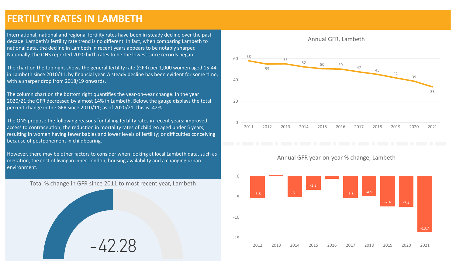#### **FERTILITY RATES IN LAMBETH**

International, national and regional fertility rates have been in steady decline over the past decade. Lambeth's fertility rate trend is no different. In fact, when comparing Lambeth to national data, the decline in Lambeth in recent years appears to be notably sharper. Nationally, the ONS reported 2020 birth rates to be the lowest since records began.

The chart on the top right shows the general fertility rate (GFR) per 1,000 women aged 15-44 in Lambeth since 2010/11, by financial year. A steady decline has been evident for some time, with a sharper drop from 2018/19 onwards.

The column chart on the bottom right quantifies the year-on-year change. In the year 2020/21 the GFR decreased by almost 14% in Lambeth. Below, the gauge displays the total percent change in the GFR since 2010/11; as of 2020/21, this is -42%.

The ONS propose the following reasons for falling fertility rates in recent years: improved access to contraception; the reduction in mortality rates of children aged under 5 years, resulting in women having fewer babies and lower levels of fertility; or difficulties conceiving because of postponement in childbearing.

However, there may be other factors to consider when looking at local Lambeth data, such as migration, the cost of living in inner London, housing availability and a changing urban environment.

Total % change in GFR since 2011 to most recent year, Lambeth

-42.28



#### Annual GFR year-on-year % change, Lambeth

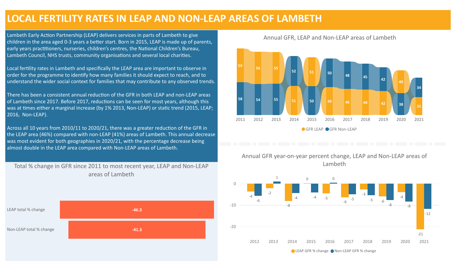#### **LOCAL FERTILITY RATES IN LEAP AND NON-LEAP AREAS OF LAMBETH**

Lambeth Early Action Partnership (LEAP) delivers services in parts of Lambeth to give children in the area aged 0-3 years a better start. Born in 2015, LEAP is made up of parents, early years practitioners, nurseries, children's centres, the National Children's Bureau, Lambeth Council, NHS trusts, community organisations and several local charities.

Local fertility rates in Lambeth and specifically the LEAP area are important to observe in order for the programme to identify how many families it should expect to reach, and to understand the wider social context for families that may contribute to any observed trends.

There has been a consistent annual reduction of the GFR in both LEAP and non-LEAP areas of Lambeth since 2017. Before 2017, reductions can be seen for most years, although this was at times either a marginal increase (by 1% 2013, Non-LEAP) or static trend (2015, LEAP; 2016, Non-LEAP).

Across all 10 years from 2010/11 to 2020/21, there was a greater reduction of the GFR in the LEAP area (46%) compared with non-LEAP (41%) areas of Lambeth. This annual decrease was most evident for both geographies in 2020/21, with the percentage decrease being almost double in the LEAP area compared with Non-LEAP areas of Lambeth.

Total % change in GFR since 2011 to most recent year, LEAP and Non-LEAP areas of Lambeth



2011 2012 2013 2014 2015 2016 2017 2018 2019 2020 2021 **59 56 55 51 51 <sup>49</sup> <sup>46</sup> <sup>44</sup> <sup>42</sup> 40 31 58 54 55 52 50 50 48 45 42 38 34** GFR LEAP GFR Non-LEAP

#### Annual GFR, LEAP and Non-LEAP areas of Lambeth



Annual GFR year-on-year percent change, LEAP and Non-LEAP areas of Lambeth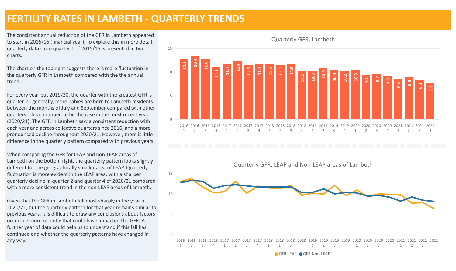#### **FERTILITY RATES IN LAMBETH - QUARTERLY TRENDS**

The consistent annual reduction of the GFR in Lambeth appeared to start in 2015/16 (financial year). To explore this in more detail, quarterly data since quarter 1 of 2015/16 is presented in two charts.

The chart on the top right suggests there is more fluctuation in the quarterly GFR in Lambeth compared with the the annual trend.

For every year but 2019/20, the quarter with the greatest GFR is quarter 2 - generally, more babies are born to Lambeth residents between the months of July and September compared with other quarters. This continued to be the case in the most recent year  $(2020/21)$ . The GFR in Lambeth saw a consistent reduction with each year and across collective quarters since 2016, and a more pronounced decline throughout 2020/21. However, there is little difference in the quarterly pattern compared with previous years.

When comparing the GFR for LEAP and non-LEAP areas of Lambeth on the bottom right, the quarterly pattern looks slightly different for the geographically smaller area of LEAP. Quarterly fluctuation is more evident in the LEAP area, with a sharper quarterly decline in quarter 2 and quarter 4 of 2020/21 compared with a more consistent trend in the non-LEAP areas of Lambeth.

Given that the GFR in Lambeth fell most sharply in the year of 2020/21, but the quarterly pattern for that year remains similar to previous years, it is difficult to draw any conclusions about factors occurring more recently that could have impacted the GFR. A further year of data could help us to understand if this fall has continued and whether the quarterly patterns have changed in any way.

 $\Omega$ 5 10 15 2016 2016 2016 2016 2017 2017 2017 2017 2018 2018 2018 2018 2019 2019 2019 2019 2020 2020 2020 2020 2021 2021 2021 2021 1 2 3 4 1 2 3 4 1 2 3 4 1 2 3 4 1 2 3 4 1  $\overline{2}$ 3 4 **12.8 13.4 12.8 11.1 11.7 12.4 11.6 11.7 11.6 11.6 11.8 10.2 10.3 10.9 10.4 10.2 10.3 9.4 9.7 9.3 8.4 8.9 8.3 7.8**

Quarterly GFR, Lambeth



GFR LEAP GFR Non-LEAP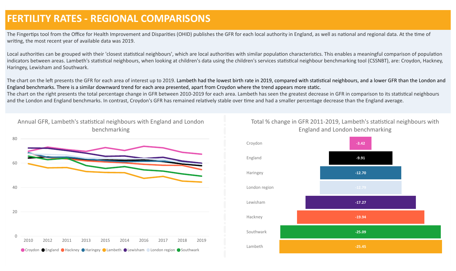### **FERTILITY RATES - REGIONAL COMPARISONS**

The Fingertips tool from the Office for Health Improvement and Disparities (OHID) publishes the GFR for each local authority in England, as well as national and regional data. At the time of writing, the most recent year of available data was 2019.

Local authorities can be grouped with their 'closest statistical neighbours', which are local authorities with similar population characteristics. This enables a meaningful comparison of population indicators between areas. Lambeth's statistical neighbours, when looking at children's data using the children's services statistical neighbour benchmarking tool (CSSNBT), are: Croydon, Hackney, Haringey, Lewisham and Southwark.

The chart on the left presents the GFR for each area of interest up to 2019. Lambeth had the lowest birth rate in 2019, compared with statistical neighbours, and a lower GFR than the London and England benchmarks. There is a similar downward trend for each area presented, apart from Croydon where the trend appears more static.

The chart on the right presents the total percentage change in GFR between 2010-2019 for each area. Lambeth has seen the greatest decrease in GFR in comparison to its statistical neighbours and the London and England benchmarks. In contrast, Croydon's GFR has remained relatively stable over time and had a smaller percentage decrease than the England average.

benchmarking 0 20 40 60 80 2010 2012 2011 2013 2015 2014 2016 2017 2018 2019 ● Croydon ● England ● Hackney ● Haringey ● Lambeth ● Lewisham ● London region ● Southwark

Annual GFR, Lambeth's statistical neighbours with England and London



#### Total % change in GFR 2011-2019, Lambeth's statistical neighbours with England and London benchmarking